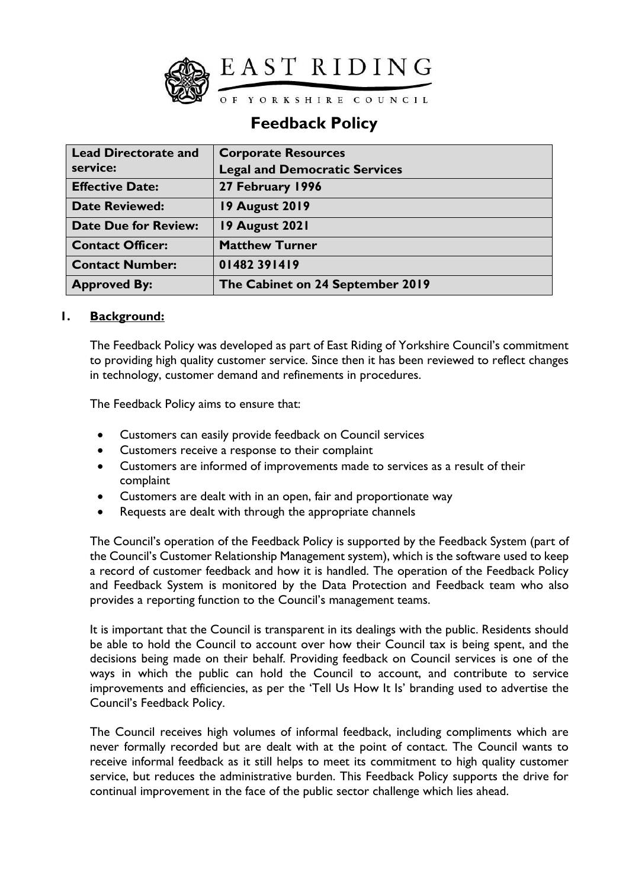

# **Feedback Policy**

| <b>Lead Directorate and</b> | <b>Corporate Resources</b>           |
|-----------------------------|--------------------------------------|
| service:                    | <b>Legal and Democratic Services</b> |
| <b>Effective Date:</b>      | 27 February 1996                     |
| <b>Date Reviewed:</b>       | <b>19 August 2019</b>                |
| <b>Date Due for Review:</b> | 19 August 2021                       |
| <b>Contact Officer:</b>     | <b>Matthew Turner</b>                |
| <b>Contact Number:</b>      | 01482391419                          |
| <b>Approved By:</b>         | The Cabinet on 24 September 2019     |

## **1. Background:**

The Feedback Policy was developed as part of East Riding of Yorkshire Council's commitment to providing high quality customer service. Since then it has been reviewed to reflect changes in technology, customer demand and refinements in procedures.

The Feedback Policy aims to ensure that:

- Customers can easily provide feedback on Council services
- Customers receive a response to their complaint
- Customers are informed of improvements made to services as a result of their complaint
- Customers are dealt with in an open, fair and proportionate way
- Requests are dealt with through the appropriate channels

The Council's operation of the Feedback Policy is supported by the Feedback System (part of the Council's Customer Relationship Management system), which is the software used to keep a record of customer feedback and how it is handled. The operation of the Feedback Policy and Feedback System is monitored by the Data Protection and Feedback team who also provides a reporting function to the Council's management teams.

It is important that the Council is transparent in its dealings with the public. Residents should be able to hold the Council to account over how their Council tax is being spent, and the decisions being made on their behalf. Providing feedback on Council services is one of the ways in which the public can hold the Council to account, and contribute to service improvements and efficiencies, as per the 'Tell Us How It Is' branding used to advertise the Council's Feedback Policy.

The Council receives high volumes of informal feedback, including compliments which are never formally recorded but are dealt with at the point of contact. The Council wants to receive informal feedback as it still helps to meet its commitment to high quality customer service, but reduces the administrative burden. This Feedback Policy supports the drive for continual improvement in the face of the public sector challenge which lies ahead.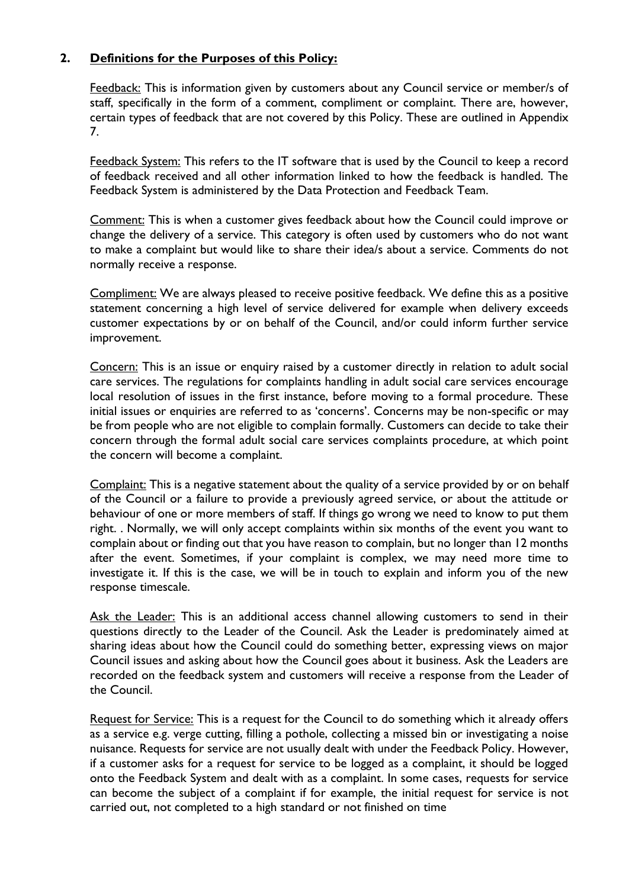# **2. Definitions for the Purposes of this Policy:**

Feedback: This is information given by customers about any Council service or member/s of staff, specifically in the form of a comment, compliment or complaint. There are, however, certain types of feedback that are not covered by this Policy. These are outlined in Appendix 7.

Feedback System: This refers to the IT software that is used by the Council to keep a record of feedback received and all other information linked to how the feedback is handled. The Feedback System is administered by the Data Protection and Feedback Team.

Comment: This is when a customer gives feedback about how the Council could improve or change the delivery of a service. This category is often used by customers who do not want to make a complaint but would like to share their idea/s about a service. Comments do not normally receive a response.

Compliment: We are always pleased to receive positive feedback. We define this as a positive statement concerning a high level of service delivered for example when delivery exceeds customer expectations by or on behalf of the Council, and/or could inform further service improvement.

Concern: This is an issue or enquiry raised by a customer directly in relation to adult social care services. The regulations for complaints handling in adult social care services encourage local resolution of issues in the first instance, before moving to a formal procedure. These initial issues or enquiries are referred to as 'concerns'. Concerns may be non-specific or may be from people who are not eligible to complain formally. Customers can decide to take their concern through the formal adult social care services complaints procedure, at which point the concern will become a complaint.

Complaint: This is a negative statement about the quality of a service provided by or on behalf of the Council or a failure to provide a previously agreed service, or about the attitude or behaviour of one or more members of staff. If things go wrong we need to know to put them right. . Normally, we will only accept complaints within six months of the event you want to complain about or finding out that you have reason to complain, but no longer than 12 months after the event. Sometimes, if your complaint is complex, we may need more time to investigate it. If this is the case, we will be in touch to explain and inform you of the new response timescale.

Ask the Leader: This is an additional access channel allowing customers to send in their questions directly to the Leader of the Council. Ask the Leader is predominately aimed at sharing ideas about how the Council could do something better, expressing views on major Council issues and asking about how the Council goes about it business. Ask the Leaders are recorded on the feedback system and customers will receive a response from the Leader of the Council.

Request for Service: This is a request for the Council to do something which it already offers as a service e.g. verge cutting, filling a pothole, collecting a missed bin or investigating a noise nuisance. Requests for service are not usually dealt with under the Feedback Policy. However, if a customer asks for a request for service to be logged as a complaint, it should be logged onto the Feedback System and dealt with as a complaint. In some cases, requests for service can become the subject of a complaint if for example, the initial request for service is not carried out, not completed to a high standard or not finished on time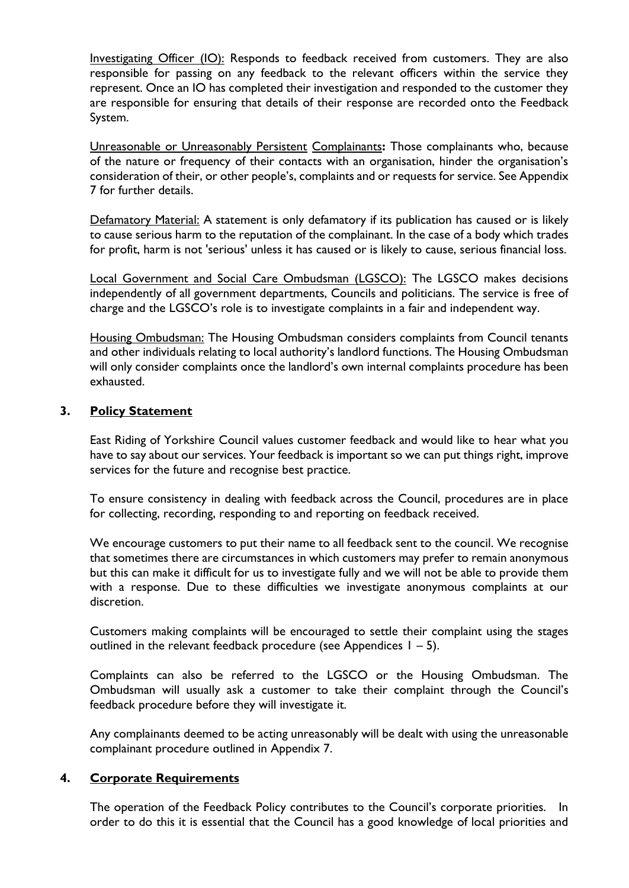Investigating Officer (IO): Responds to feedback received from customers. They are also responsible for passing on any feedback to the relevant officers within the service they represent. Once an IO has completed their investigation and responded to the customer they are responsible for ensuring that details of their response are recorded onto the Feedback System.

Unreasonable or Unreasonably Persistent Complainants**:** Those complainants who, because of the nature or frequency of their contacts with an organisation, hinder the organisation's consideration of their, or other people's, complaints and or requests for service. See Appendix 7 for further details.

Defamatory Material: A statement is only defamatory if its publication has caused or is likely to cause serious harm to the reputation of the complainant. In the case of a body which trades for profit, harm is not 'serious' unless it has caused or is likely to cause, serious financial loss.

Local Government and Social Care Ombudsman (LGSCO): The LGSCO makes decisions independently of all government departments, Councils and politicians. The service is free of charge and the LGSCO's role is to investigate complaints in a fair and independent way.

Housing Ombudsman: The Housing Ombudsman considers complaints from Council tenants and other individuals relating to local authority's landlord functions. The Housing Ombudsman will only consider complaints once the landlord's own internal complaints procedure has been exhausted.

## **3. Policy Statement**

East Riding of Yorkshire Council values customer feedback and would like to hear what you have to say about our services. Your feedback is important so we can put things right, improve services for the future and recognise best practice.

To ensure consistency in dealing with feedback across the Council, procedures are in place for collecting, recording, responding to and reporting on feedback received.

We encourage customers to put their name to all feedback sent to the council. We recognise that sometimes there are circumstances in which customers may prefer to remain anonymous but this can make it difficult for us to investigate fully and we will not be able to provide them with a response. Due to these difficulties we investigate anonymous complaints at our discretion.

Customers making complaints will be encouraged to settle their complaint using the stages outlined in the relevant feedback procedure (see Appendices  $1 - 5$ ).

Complaints can also be referred to the LGSCO or the Housing Ombudsman. The Ombudsman will usually ask a customer to take their complaint through the Council's feedback procedure before they will investigate it.

Any complainants deemed to be acting unreasonably will be dealt with using the unreasonable complainant procedure outlined in Appendix 7.

#### **4. Corporate Requirements**

The operation of the Feedback Policy contributes to the Council's corporate priorities. In order to do this it is essential that the Council has a good knowledge of local priorities and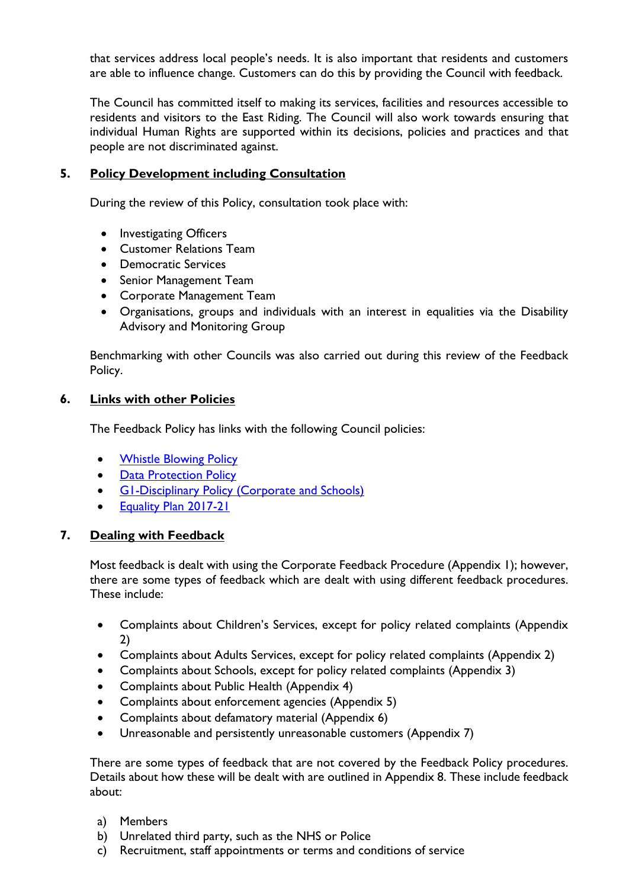that services address local people's needs. It is also important that residents and customers are able to influence change. Customers can do this by providing the Council with feedback.

The Council has committed itself to making its services, facilities and resources accessible to residents and visitors to the East Riding. The Council will also work towards ensuring that individual Human Rights are supported within its decisions, policies and practices and that people are not discriminated against.

# **5. Policy Development including Consultation**

During the review of this Policy, consultation took place with:

- Investigating Officers
- Customer Relations Team
- Democratic Services
- Senior Management Team
- Corporate Management Team
- Organisations, groups and individuals with an interest in equalities via the Disability Advisory and Monitoring Group

Benchmarking with other Councils was also carried out during this review of the Feedback Policy.

## **6. Links with other Policies**

The Feedback Policy has links with the following Council policies:

- [Whistle Blowing Policy](http://insight.eastriding.gov.uk/directorates/cr/hr/policies/disciplinary-capability-fraud/)
- Data Protection Policy
- G1-Disciplinary Policy (Corporate and Schools)
- Equality Plan 2017-21

## **7. Dealing with Feedback**

Most feedback is dealt with using the Corporate Feedback Procedure (Appendix 1); however, there are some types of feedback which are dealt with using different feedback procedures. These include:

- Complaints about Children's Services, except for policy related complaints (Appendix 2)
- Complaints about Adults Services, except for policy related complaints (Appendix 2)
- Complaints about Schools, except for policy related complaints (Appendix 3)
- Complaints about Public Health (Appendix 4)
- Complaints about enforcement agencies (Appendix 5)
- Complaints about defamatory material (Appendix 6)
- Unreasonable and persistently unreasonable customers (Appendix 7)

There are some types of feedback that are not covered by the Feedback Policy procedures. Details about how these will be dealt with are outlined in Appendix 8. These include feedback about:

- a) Members
- b) Unrelated third party, such as the NHS or Police
- c) Recruitment, staff appointments or terms and conditions of service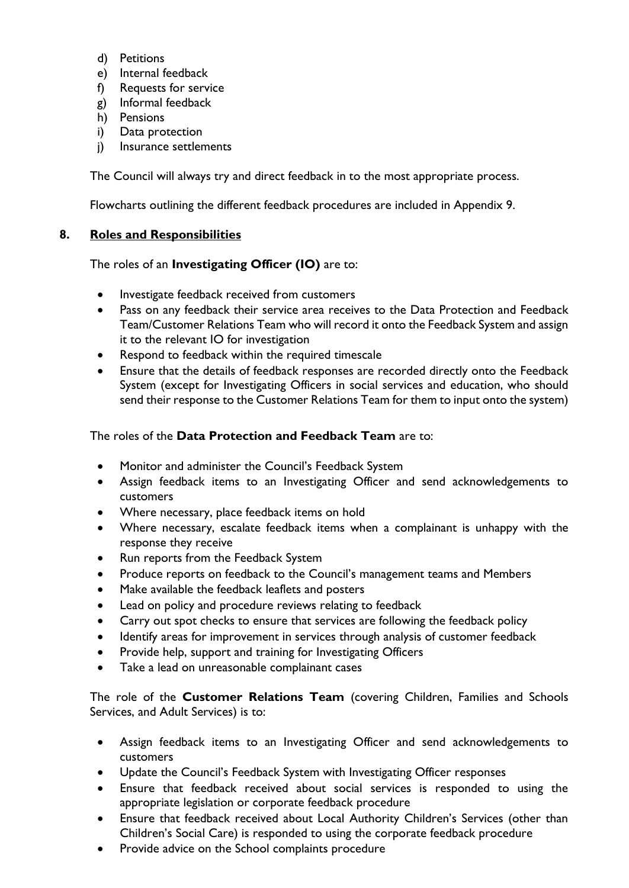- d) Petitions
- e) Internal feedback
- f) Requests for service
- g) Informal feedback
- h) Pensions
- i) Data protection
- j) Insurance settlements

The Council will always try and direct feedback in to the most appropriate process.

Flowcharts outlining the different feedback procedures are included in Appendix 9.

## **8. Roles and Responsibilities**

# The roles of an **Investigating Officer (IO)** are to:

- Investigate feedback received from customers
- Pass on any feedback their service area receives to the Data Protection and Feedback Team/Customer Relations Team who will record it onto the Feedback System and assign it to the relevant IO for investigation
- Respond to feedback within the required timescale
- Ensure that the details of feedback responses are recorded directly onto the Feedback System (except for Investigating Officers in social services and education, who should send their response to the Customer Relations Team for them to input onto the system)

# The roles of the **Data Protection and Feedback Team** are to:

- Monitor and administer the Council's Feedback System
- Assign feedback items to an Investigating Officer and send acknowledgements to customers
- Where necessary, place feedback items on hold
- Where necessary, escalate feedback items when a complainant is unhappy with the response they receive
- Run reports from the Feedback System
- Produce reports on feedback to the Council's management teams and Members
- Make available the feedback leaflets and posters
- Lead on policy and procedure reviews relating to feedback
- Carry out spot checks to ensure that services are following the feedback policy
- Identify areas for improvement in services through analysis of customer feedback
- Provide help, support and training for Investigating Officers
- Take a lead on unreasonable complainant cases

The role of the **Customer Relations Team** (covering Children, Families and Schools Services, and Adult Services) is to:

- Assign feedback items to an Investigating Officer and send acknowledgements to customers
- Update the Council's Feedback System with Investigating Officer responses
- Ensure that feedback received about social services is responded to using the appropriate legislation or corporate feedback procedure
- Ensure that feedback received about Local Authority Children's Services (other than Children's Social Care) is responded to using the corporate feedback procedure
- Provide advice on the School complaints procedure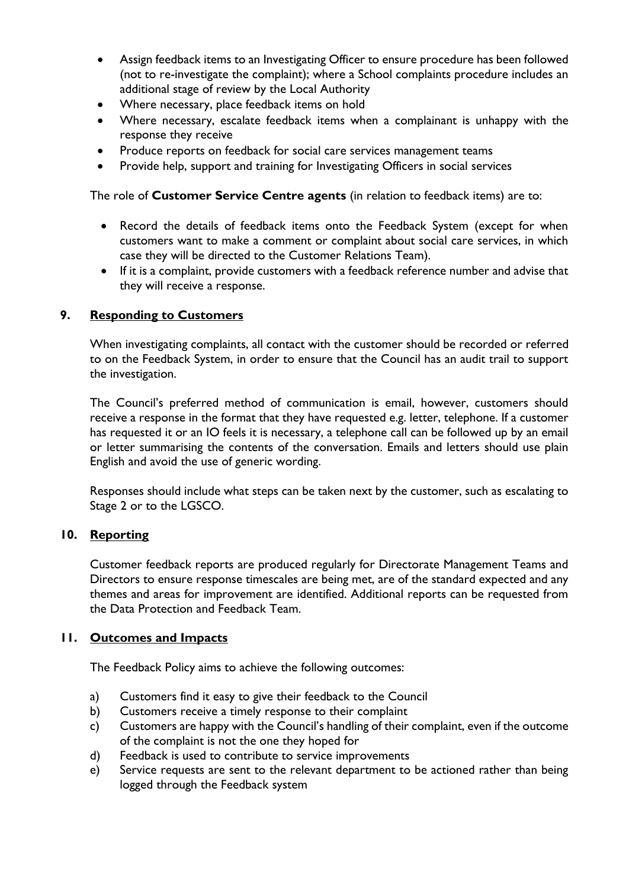- Assign feedback items to an Investigating Officer to ensure procedure has been followed (not to re-investigate the complaint); where a School complaints procedure includes an additional stage of review by the Local Authority
- Where necessary, place feedback items on hold
- Where necessary, escalate feedback items when a complainant is unhappy with the response they receive
- Produce reports on feedback for social care services management teams
- Provide help, support and training for Investigating Officers in social services

The role of **Customer Service Centre agents** (in relation to feedback items) are to:

- Record the details of feedback items onto the Feedback System (except for when customers want to make a comment or complaint about social care services, in which case they will be directed to the Customer Relations Team).
- If it is a complaint, provide customers with a feedback reference number and advise that they will receive a response.

#### **9. Responding to Customers**

When investigating complaints, all contact with the customer should be recorded or referred to on the Feedback System, in order to ensure that the Council has an audit trail to support the investigation.

The Council's preferred method of communication is email, however, customers should receive a response in the format that they have requested e.g. letter, telephone. If a customer has requested it or an IO feels it is necessary, a telephone call can be followed up by an email or letter summarising the contents of the conversation. Emails and letters should use plain English and avoid the use of generic wording.

Responses should include what steps can be taken next by the customer, such as escalating to Stage 2 or to the LGSCO.

#### **10. Reporting**

Customer feedback reports are produced regularly for Directorate Management Teams and Directors to ensure response timescales are being met, are of the standard expected and any themes and areas for improvement are identified. Additional reports can be requested from the Data Protection and Feedback Team.

#### **11. Outcomes and Impacts**

The Feedback Policy aims to achieve the following outcomes:

- a) Customers find it easy to give their feedback to the Council
- b) Customers receive a timely response to their complaint
- c) Customers are happy with the Council's handling of their complaint, even if the outcome of the complaint is not the one they hoped for
- d) Feedback is used to contribute to service improvements
- e) Service requests are sent to the relevant department to be actioned rather than being logged through the Feedback system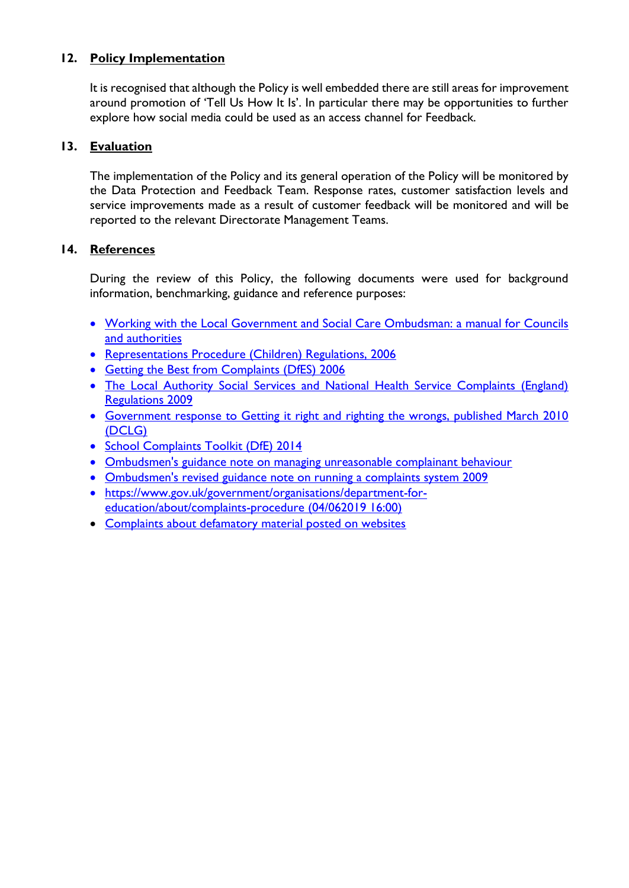# **12. Policy Implementation**

It is recognised that although the Policy is well embedded there are still areas for improvement around promotion of 'Tell Us How It Is'. In particular there may be opportunities to further explore how social media could be used as an access channel for Feedback.

# **13. Evaluation**

The implementation of the Policy and its general operation of the Policy will be monitored by the Data Protection and Feedback Team. Response rates, customer satisfaction levels and service improvements made as a result of customer feedback will be monitored and will be reported to the relevant Directorate Management Teams.

# **14. References**

During the review of this Policy, the following documents were used for background information, benchmarking, guidance and reference purposes:

- Working with the Local Government and Social Care Ombudsman: a manual for Councils and authorities
- Representations Procedure (Children) Regulations, 2006
- Getting the Best from Complaints (DfES) 2006
- The Local Authority Social Services and National Health Service Complaints (England) Regulations 2009
- Government response to Getting it right and righting the wrongs, published March 2010 (DCLG)
- School Complaints Toolkit (DfE) 2014
- Ombudsmen's guidance note on managing unreasonable complainant behaviour
- Ombudsmen's revised guidance note on running a complaints system 2009
- https://www.gov.uk/government/organisations/department-foreducation/about/complaints-procedure (04/062019 16:00)
- [Complaints about defamatory material posted on websites](https://assets.publishing.service.gov.uk/government/uploads/system/uploads/attachment_data/file/269138/defamation-guidance.pdf)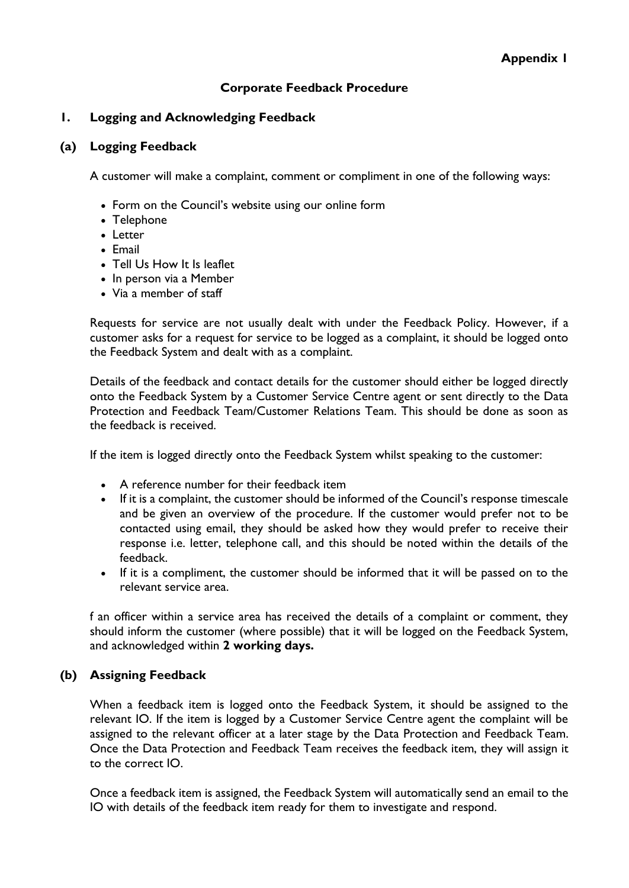# **Corporate Feedback Procedure**

## **1. Logging and Acknowledging Feedback**

#### **(a) Logging Feedback**

A customer will make a complaint, comment or compliment in one of the following ways:

- Form on the Council's website using our online form
- Telephone
- Letter
- Email
- Tell Us How It Is leaflet
- In person via a Member
- Via a member of staff

Requests for service are not usually dealt with under the Feedback Policy. However, if a customer asks for a request for service to be logged as a complaint, it should be logged onto the Feedback System and dealt with as a complaint.

Details of the feedback and contact details for the customer should either be logged directly onto the Feedback System by a Customer Service Centre agent or sent directly to the Data Protection and Feedback Team/Customer Relations Team. This should be done as soon as the feedback is received.

If the item is logged directly onto the Feedback System whilst speaking to the customer:

- A reference number for their feedback item
- If it is a complaint, the customer should be informed of the Council's response timescale and be given an overview of the procedure. If the customer would prefer not to be contacted using email, they should be asked how they would prefer to receive their response i.e. letter, telephone call, and this should be noted within the details of the feedback.
- If it is a compliment, the customer should be informed that it will be passed on to the relevant service area.

f an officer within a service area has received the details of a complaint or comment, they should inform the customer (where possible) that it will be logged on the Feedback System, and acknowledged within **2 working days.** 

## **(b) Assigning Feedback**

When a feedback item is logged onto the Feedback System, it should be assigned to the relevant IO. If the item is logged by a Customer Service Centre agent the complaint will be assigned to the relevant officer at a later stage by the Data Protection and Feedback Team. Once the Data Protection and Feedback Team receives the feedback item, they will assign it to the correct IO.

Once a feedback item is assigned, the Feedback System will automatically send an email to the IO with details of the feedback item ready for them to investigate and respond.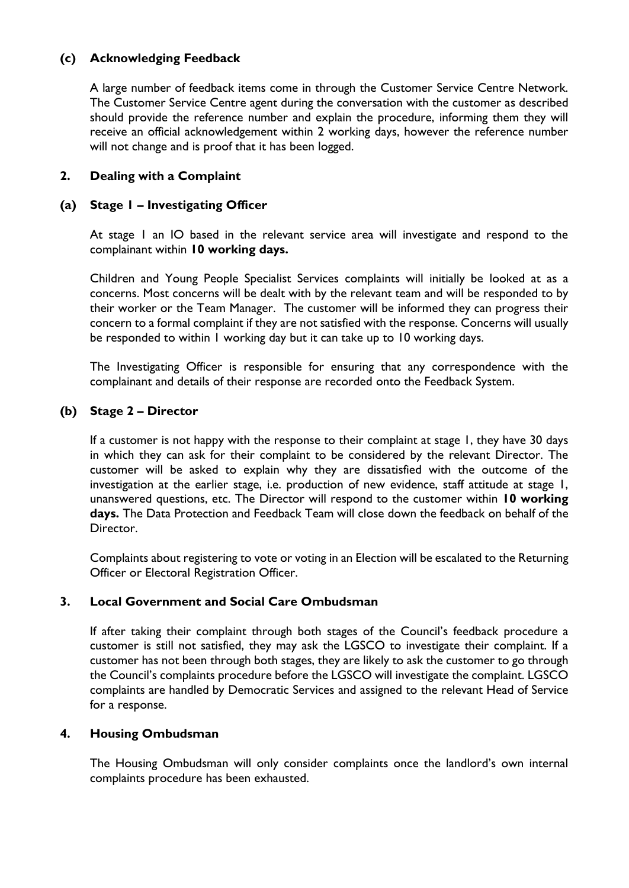## **(c) Acknowledging Feedback**

A large number of feedback items come in through the Customer Service Centre Network. The Customer Service Centre agent during the conversation with the customer as described should provide the reference number and explain the procedure, informing them they will receive an official acknowledgement within 2 working days, however the reference number will not change and is proof that it has been logged.

## **2. Dealing with a Complaint**

## **(a) Stage 1 – Investigating Officer**

At stage 1 an IO based in the relevant service area will investigate and respond to the complainant within **10 working days.**

Children and Young People Specialist Services complaints will initially be looked at as a concerns. Most concerns will be dealt with by the relevant team and will be responded to by their worker or the Team Manager. The customer will be informed they can progress their concern to a formal complaint if they are not satisfied with the response. Concerns will usually be responded to within 1 working day but it can take up to 10 working days.

The Investigating Officer is responsible for ensuring that any correspondence with the complainant and details of their response are recorded onto the Feedback System.

## **(b) Stage 2 – Director**

If a customer is not happy with the response to their complaint at stage 1, they have 30 days in which they can ask for their complaint to be considered by the relevant Director. The customer will be asked to explain why they are dissatisfied with the outcome of the investigation at the earlier stage, i.e. production of new evidence, staff attitude at stage 1, unanswered questions, etc. The Director will respond to the customer within **10 working days.** The Data Protection and Feedback Team will close down the feedback on behalf of the Director.

Complaints about registering to vote or voting in an Election will be escalated to the Returning Officer or Electoral Registration Officer.

## **3. Local Government and Social Care Ombudsman**

If after taking their complaint through both stages of the Council's feedback procedure a customer is still not satisfied, they may ask the LGSCO to investigate their complaint. If a customer has not been through both stages, they are likely to ask the customer to go through the Council's complaints procedure before the LGSCO will investigate the complaint. LGSCO complaints are handled by Democratic Services and assigned to the relevant Head of Service for a response.

## **4. Housing Ombudsman**

The Housing Ombudsman will only consider complaints once the landlord's own internal complaints procedure has been exhausted.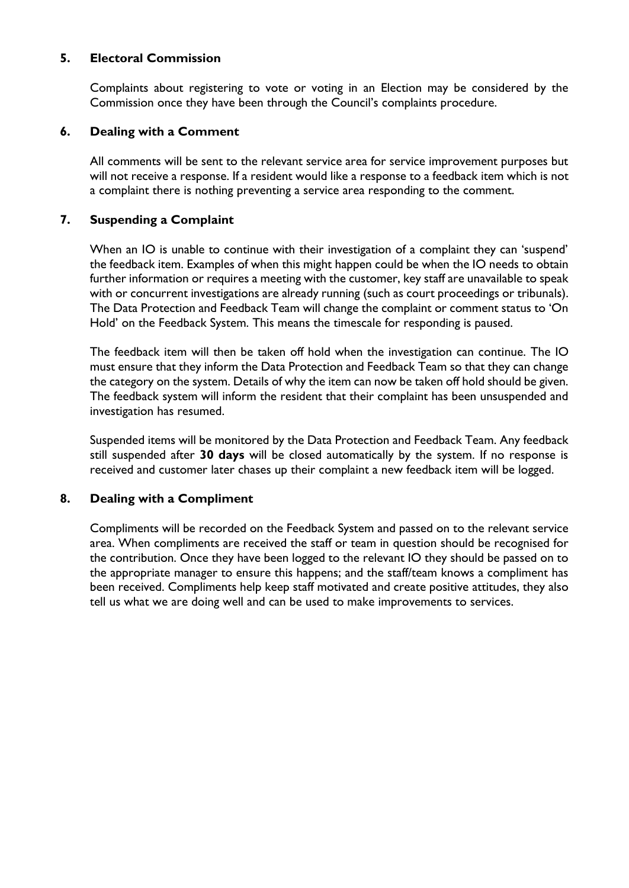## **5. Electoral Commission**

Complaints about registering to vote or voting in an Election may be considered by the Commission once they have been through the Council's complaints procedure.

#### **6. Dealing with a Comment**

All comments will be sent to the relevant service area for service improvement purposes but will not receive a response. If a resident would like a response to a feedback item which is not a complaint there is nothing preventing a service area responding to the comment.

#### **7. Suspending a Complaint**

When an IO is unable to continue with their investigation of a complaint they can 'suspend' the feedback item. Examples of when this might happen could be when the IO needs to obtain further information or requires a meeting with the customer, key staff are unavailable to speak with or concurrent investigations are already running (such as court proceedings or tribunals). The Data Protection and Feedback Team will change the complaint or comment status to 'On Hold' on the Feedback System. This means the timescale for responding is paused.

The feedback item will then be taken off hold when the investigation can continue. The IO must ensure that they inform the Data Protection and Feedback Team so that they can change the category on the system. Details of why the item can now be taken off hold should be given. The feedback system will inform the resident that their complaint has been unsuspended and investigation has resumed.

Suspended items will be monitored by the Data Protection and Feedback Team. Any feedback still suspended after **30 days** will be closed automatically by the system. If no response is received and customer later chases up their complaint a new feedback item will be logged.

## **8. Dealing with a Compliment**

Compliments will be recorded on the Feedback System and passed on to the relevant service area. When compliments are received the staff or team in question should be recognised for the contribution. Once they have been logged to the relevant IO they should be passed on to the appropriate manager to ensure this happens; and the staff/team knows a compliment has been received. Compliments help keep staff motivated and create positive attitudes, they also tell us what we are doing well and can be used to make improvements to services.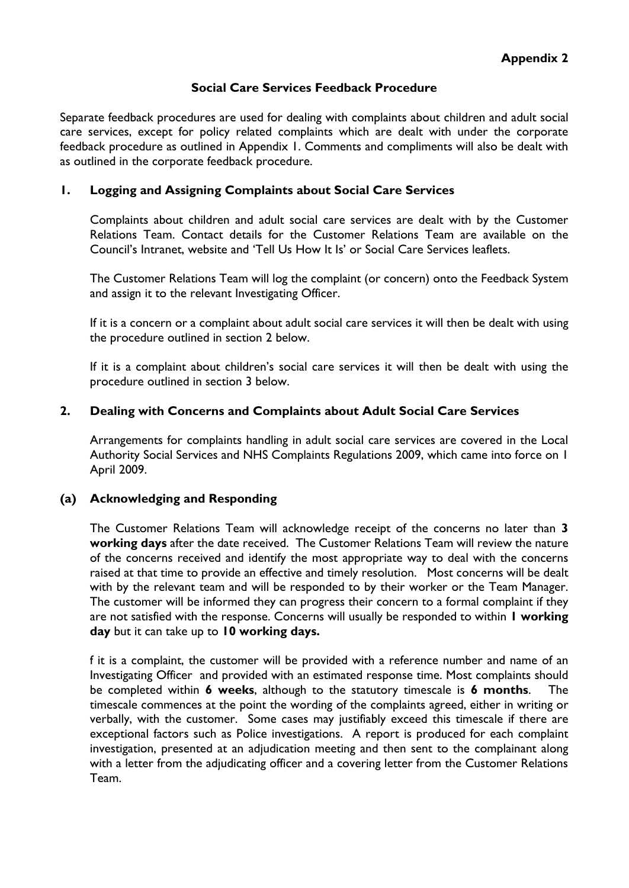#### **Social Care Services Feedback Procedure**

Separate feedback procedures are used for dealing with complaints about children and adult social care services, except for policy related complaints which are dealt with under the corporate feedback procedure as outlined in Appendix 1. Comments and compliments will also be dealt with as outlined in the corporate feedback procedure.

#### **1. Logging and Assigning Complaints about Social Care Services**

Complaints about children and adult social care services are dealt with by the Customer Relations Team. Contact details for the Customer Relations Team are available on the Council's Intranet, website and 'Tell Us How It Is' or Social Care Services leaflets.

The Customer Relations Team will log the complaint (or concern) onto the Feedback System and assign it to the relevant Investigating Officer.

If it is a concern or a complaint about adult social care services it will then be dealt with using the procedure outlined in section 2 below.

If it is a complaint about children's social care services it will then be dealt with using the procedure outlined in section 3 below.

#### **2. Dealing with Concerns and Complaints about Adult Social Care Services**

Arrangements for complaints handling in adult social care services are covered in the Local Authority Social Services and NHS Complaints Regulations 2009, which came into force on 1 April 2009.

## **(a) Acknowledging and Responding**

The Customer Relations Team will acknowledge receipt of the concerns no later than **3 working days** after the date received. The Customer Relations Team will review the nature of the concerns received and identify the most appropriate way to deal with the concerns raised at that time to provide an effective and timely resolution. Most concerns will be dealt with by the relevant team and will be responded to by their worker or the Team Manager. The customer will be informed they can progress their concern to a formal complaint if they are not satisfied with the response. Concerns will usually be responded to within **1 working day** but it can take up to **10 working days.**

f it is a complaint, the customer will be provided with a reference number and name of an Investigating Officer and provided with an estimated response time. Most complaints should be completed within **6 weeks**, although to the statutory timescale is **6 months**. The timescale commences at the point the wording of the complaints agreed, either in writing or verbally, with the customer. Some cases may justifiably exceed this timescale if there are exceptional factors such as Police investigations. A report is produced for each complaint investigation, presented at an adjudication meeting and then sent to the complainant along with a letter from the adjudicating officer and a covering letter from the Customer Relations Team.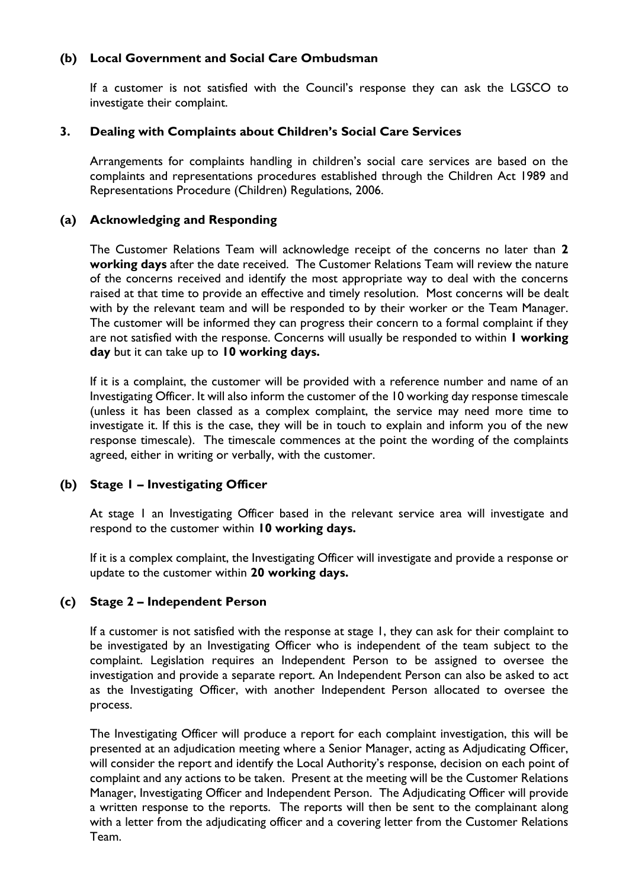# **(b) Local Government and Social Care Ombudsman**

If a customer is not satisfied with the Council's response they can ask the LGSCO to investigate their complaint.

# **3. Dealing with Complaints about Children's Social Care Services**

Arrangements for complaints handling in children's social care services are based on the complaints and representations procedures established through the Children Act 1989 and Representations Procedure (Children) Regulations, 2006.

# **(a) Acknowledging and Responding**

The Customer Relations Team will acknowledge receipt of the concerns no later than **2 working days** after the date received. The Customer Relations Team will review the nature of the concerns received and identify the most appropriate way to deal with the concerns raised at that time to provide an effective and timely resolution. Most concerns will be dealt with by the relevant team and will be responded to by their worker or the Team Manager. The customer will be informed they can progress their concern to a formal complaint if they are not satisfied with the response. Concerns will usually be responded to within **1 working day** but it can take up to **10 working days.**

If it is a complaint, the customer will be provided with a reference number and name of an Investigating Officer. It will also inform the customer of the 10 working day response timescale (unless it has been classed as a complex complaint, the service may need more time to investigate it. If this is the case, they will be in touch to explain and inform you of the new response timescale). The timescale commences at the point the wording of the complaints agreed, either in writing or verbally, with the customer.

# **(b) Stage 1 – Investigating Officer**

At stage 1 an Investigating Officer based in the relevant service area will investigate and respond to the customer within **10 working days.**

If it is a complex complaint, the Investigating Officer will investigate and provide a response or update to the customer within **20 working days.**

## **(c) Stage 2 – Independent Person**

If a customer is not satisfied with the response at stage 1, they can ask for their complaint to be investigated by an Investigating Officer who is independent of the team subject to the complaint. Legislation requires an Independent Person to be assigned to oversee the investigation and provide a separate report. An Independent Person can also be asked to act as the Investigating Officer, with another Independent Person allocated to oversee the process.

The Investigating Officer will produce a report for each complaint investigation, this will be presented at an adjudication meeting where a Senior Manager, acting as Adjudicating Officer, will consider the report and identify the Local Authority's response, decision on each point of complaint and any actions to be taken. Present at the meeting will be the Customer Relations Manager, Investigating Officer and Independent Person. The Adjudicating Officer will provide a written response to the reports. The reports will then be sent to the complainant along with a letter from the adjudicating officer and a covering letter from the Customer Relations Team.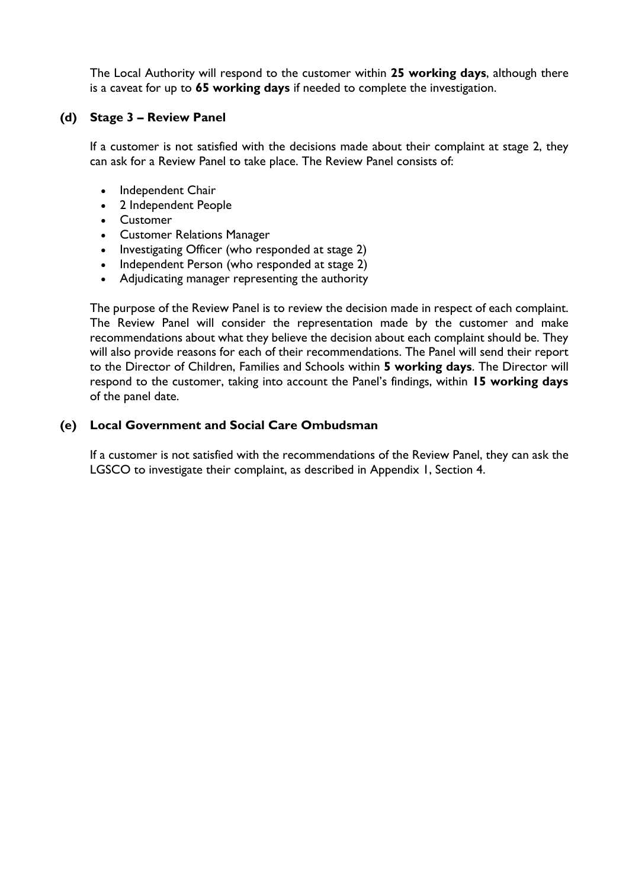The Local Authority will respond to the customer within **25 working days**, although there is a caveat for up to **65 working days** if needed to complete the investigation.

#### **(d) Stage 3 – Review Panel**

If a customer is not satisfied with the decisions made about their complaint at stage 2, they can ask for a Review Panel to take place. The Review Panel consists of:

- Independent Chair
- 2 Independent People
- Customer
- Customer Relations Manager
- Investigating Officer (who responded at stage 2)
- Independent Person (who responded at stage 2)
- Adjudicating manager representing the authority

The purpose of the Review Panel is to review the decision made in respect of each complaint. The Review Panel will consider the representation made by the customer and make recommendations about what they believe the decision about each complaint should be. They will also provide reasons for each of their recommendations. The Panel will send their report to the Director of Children, Families and Schools within **5 working days**. The Director will respond to the customer, taking into account the Panel's findings, within **15 working days**  of the panel date.

## **(e) Local Government and Social Care Ombudsman**

If a customer is not satisfied with the recommendations of the Review Panel, they can ask the LGSCO to investigate their complaint, as described in Appendix 1, Section 4.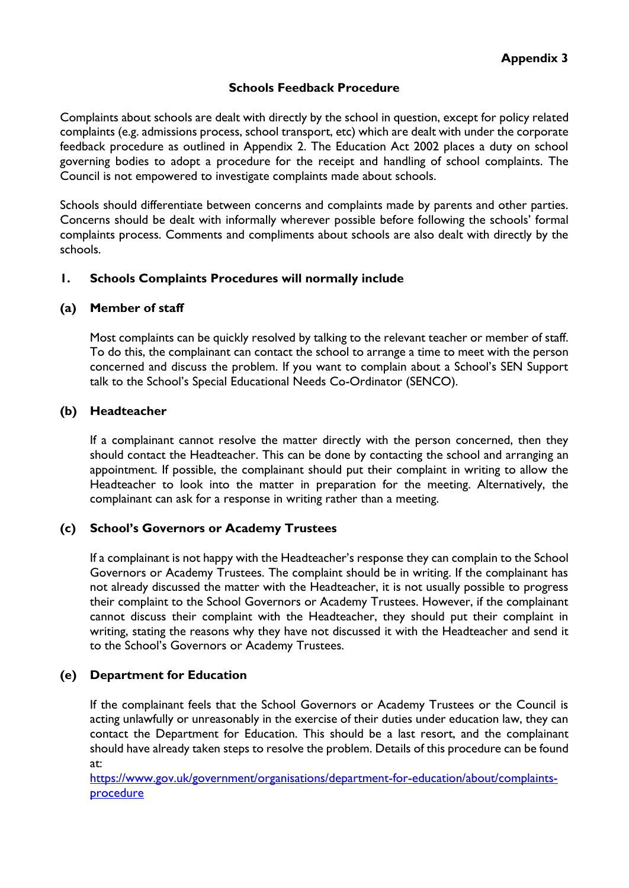## **Schools Feedback Procedure**

Complaints about schools are dealt with directly by the school in question, except for policy related complaints (e.g. admissions process, school transport, etc) which are dealt with under the corporate feedback procedure as outlined in Appendix 2. The Education Act 2002 places a duty on school governing bodies to adopt a procedure for the receipt and handling of school complaints. The Council is not empowered to investigate complaints made about schools.

Schools should differentiate between concerns and complaints made by parents and other parties. Concerns should be dealt with informally wherever possible before following the schools' formal complaints process. Comments and compliments about schools are also dealt with directly by the schools.

# **1. Schools Complaints Procedures will normally include**

## **(a) Member of staff**

Most complaints can be quickly resolved by talking to the relevant teacher or member of staff. To do this, the complainant can contact the school to arrange a time to meet with the person concerned and discuss the problem. If you want to complain about a School's SEN Support talk to the School's Special Educational Needs Co-Ordinator (SENCO).

## **(b) Headteacher**

If a complainant cannot resolve the matter directly with the person concerned, then they should contact the Headteacher. This can be done by contacting the school and arranging an appointment. If possible, the complainant should put their complaint in writing to allow the Headteacher to look into the matter in preparation for the meeting. Alternatively, the complainant can ask for a response in writing rather than a meeting.

## **(c) School's Governors or Academy Trustees**

If a complainant is not happy with the Headteacher's response they can complain to the School Governors or Academy Trustees. The complaint should be in writing. If the complainant has not already discussed the matter with the Headteacher, it is not usually possible to progress their complaint to the School Governors or Academy Trustees. However, if the complainant cannot discuss their complaint with the Headteacher, they should put their complaint in writing, stating the reasons why they have not discussed it with the Headteacher and send it to the School's Governors or Academy Trustees.

## **(e) Department for Education**

If the complainant feels that the School Governors or Academy Trustees or the Council is acting unlawfully or unreasonably in the exercise of their duties under education law, they can contact the Department for Education. This should be a last resort, and the complainant should have already taken steps to resolve the problem. Details of this procedure can be found at:

[https://www.gov.uk/government/organisations/department-for-education/about/complaints](https://www.gov.uk/government/organisations/department-for-education/about/complaints-procedure)[procedure](https://www.gov.uk/government/organisations/department-for-education/about/complaints-procedure)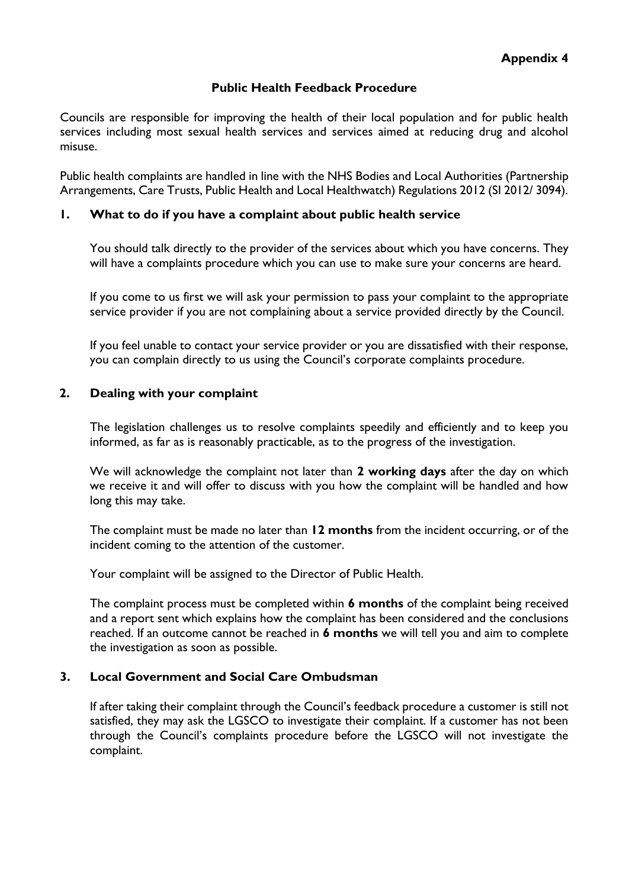#### **Public Health Feedback Procedure**

Councils are responsible for improving the health of their local population and for public health services including most sexual health services and services aimed at reducing drug and alcohol misuse.

Public health complaints are handled in line with the NHS Bodies and Local Authorities (Partnership Arrangements, Care Trusts, Public Health and Local Healthwatch) Regulations 2012 (SI 2012/ 3094).

#### **1. What to do if you have a complaint about public health service**

You should talk directly to the provider of the services about which you have concerns. They will have a complaints procedure which you can use to make sure your concerns are heard.

If you come to us first we will ask your permission to pass your complaint to the appropriate service provider if you are not complaining about a service provided directly by the Council.

If you feel unable to contact your service provider or you are dissatisfied with their response, you can complain directly to us using the Council's corporate complaints procedure.

#### **2. Dealing with your complaint**

The legislation challenges us to resolve complaints speedily and efficiently and to keep you informed, as far as is reasonably practicable, as to the progress of the investigation.

We will acknowledge the complaint not later than **2 working days** after the day on which we receive it and will offer to discuss with you how the complaint will be handled and how long this may take.

The complaint must be made no later than **12 months** from the incident occurring, or of the incident coming to the attention of the customer.

Your complaint will be assigned to the Director of Public Health.

The complaint process must be completed within **6 months** of the complaint being received and a report sent which explains how the complaint has been considered and the conclusions reached. If an outcome cannot be reached in **6 months** we will tell you and aim to complete the investigation as soon as possible.

## **3. Local Government and Social Care Ombudsman**

If after taking their complaint through the Council's feedback procedure a customer is still not satisfied, they may ask the LGSCO to investigate their complaint. If a customer has not been through the Council's complaints procedure before the LGSCO will not investigate the complaint.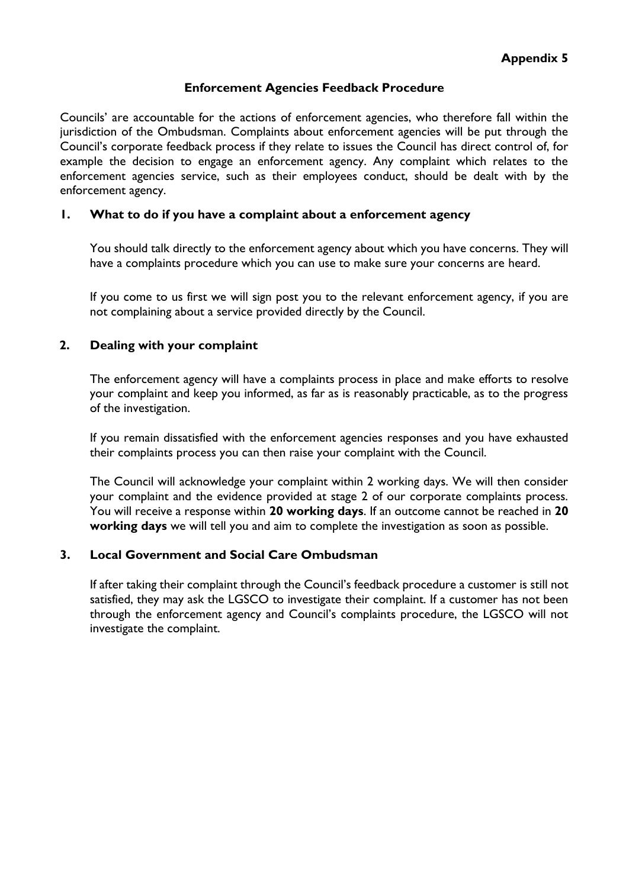#### **Enforcement Agencies Feedback Procedure**

Councils' are accountable for the actions of enforcement agencies, who therefore fall within the jurisdiction of the Ombudsman. Complaints about enforcement agencies will be put through the Council's corporate feedback process if they relate to issues the Council has direct control of, for example the decision to engage an enforcement agency. Any complaint which relates to the enforcement agencies service, such as their employees conduct, should be dealt with by the enforcement agency.

#### **1. What to do if you have a complaint about a enforcement agency**

You should talk directly to the enforcement agency about which you have concerns. They will have a complaints procedure which you can use to make sure your concerns are heard.

If you come to us first we will sign post you to the relevant enforcement agency, if you are not complaining about a service provided directly by the Council.

#### **2. Dealing with your complaint**

The enforcement agency will have a complaints process in place and make efforts to resolve your complaint and keep you informed, as far as is reasonably practicable, as to the progress of the investigation.

If you remain dissatisfied with the enforcement agencies responses and you have exhausted their complaints process you can then raise your complaint with the Council.

The Council will acknowledge your complaint within 2 working days. We will then consider your complaint and the evidence provided at stage 2 of our corporate complaints process. You will receive a response within **20 working days**. If an outcome cannot be reached in **20 working days** we will tell you and aim to complete the investigation as soon as possible.

#### **3. Local Government and Social Care Ombudsman**

If after taking their complaint through the Council's feedback procedure a customer is still not satisfied, they may ask the LGSCO to investigate their complaint. If a customer has not been through the enforcement agency and Council's complaints procedure, the LGSCO will not investigate the complaint.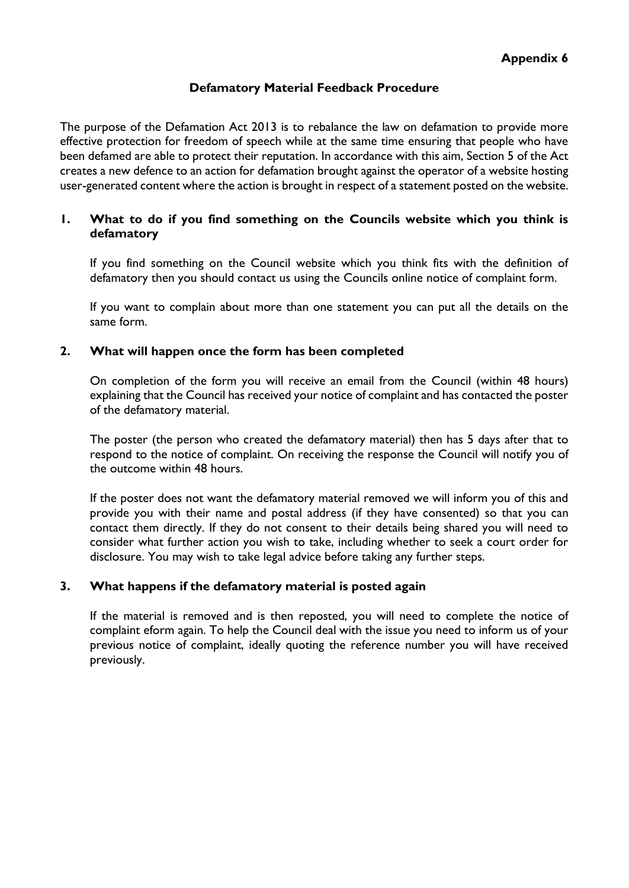#### **Defamatory Material Feedback Procedure**

The purpose of the Defamation Act 2013 is to rebalance the law on defamation to provide more effective protection for freedom of speech while at the same time ensuring that people who have been defamed are able to protect their reputation. In accordance with this aim, Section 5 of the Act creates a new defence to an action for defamation brought against the operator of a website hosting user-generated content where the action is brought in respect of a statement posted on the website.

#### **1. What to do if you find something on the Councils website which you think is defamatory**

If you find something on the Council website which you think fits with the definition of defamatory then you should contact us using the Councils online notice of complaint form.

If you want to complain about more than one statement you can put all the details on the same form.

#### **2. What will happen once the form has been completed**

On completion of the form you will receive an email from the Council (within 48 hours) explaining that the Council has received your notice of complaint and has contacted the poster of the defamatory material.

The poster (the person who created the defamatory material) then has 5 days after that to respond to the notice of complaint. On receiving the response the Council will notify you of the outcome within 48 hours.

If the poster does not want the defamatory material removed we will inform you of this and provide you with their name and postal address (if they have consented) so that you can contact them directly. If they do not consent to their details being shared you will need to consider what further action you wish to take, including whether to seek a court order for disclosure. You may wish to take legal advice before taking any further steps.

## **3. What happens if the defamatory material is posted again**

If the material is removed and is then reposted, you will need to complete the notice of complaint eform again. To help the Council deal with the issue you need to inform us of your previous notice of complaint, ideally quoting the reference number you will have received previously.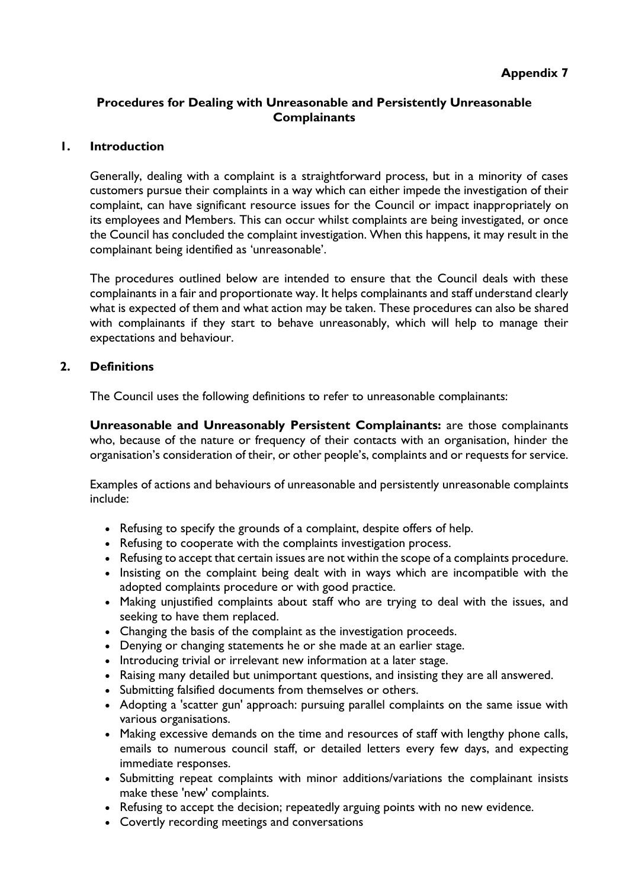# **Appendix 7**

## **Procedures for Dealing with Unreasonable and Persistently Unreasonable Complainants**

#### **1. Introduction**

Generally, dealing with a complaint is a straightforward process, but in a minority of cases customers pursue their complaints in a way which can either impede the investigation of their complaint, can have significant resource issues for the Council or impact inappropriately on its employees and Members. This can occur whilst complaints are being investigated, or once the Council has concluded the complaint investigation. When this happens, it may result in the complainant being identified as 'unreasonable'.

The procedures outlined below are intended to ensure that the Council deals with these complainants in a fair and proportionate way. It helps complainants and staff understand clearly what is expected of them and what action may be taken. These procedures can also be shared with complainants if they start to behave unreasonably, which will help to manage their expectations and behaviour.

#### **2. Definitions**

The Council uses the following definitions to refer to unreasonable complainants:

**Unreasonable and Unreasonably Persistent Complainants:** are those complainants who, because of the nature or frequency of their contacts with an organisation, hinder the organisation's consideration of their, or other people's, complaints and or requests for service.

Examples of actions and behaviours of unreasonable and persistently unreasonable complaints include:

- Refusing to specify the grounds of a complaint, despite offers of help.
- Refusing to cooperate with the complaints investigation process.
- Refusing to accept that certain issues are not within the scope of a complaints procedure.
- Insisting on the complaint being dealt with in ways which are incompatible with the adopted complaints procedure or with good practice.
- Making unjustified complaints about staff who are trying to deal with the issues, and seeking to have them replaced.
- Changing the basis of the complaint as the investigation proceeds.
- Denying or changing statements he or she made at an earlier stage.
- Introducing trivial or irrelevant new information at a later stage.
- Raising many detailed but unimportant questions, and insisting they are all answered.
- Submitting falsified documents from themselves or others.
- Adopting a 'scatter gun' approach: pursuing parallel complaints on the same issue with various organisations.
- Making excessive demands on the time and resources of staff with lengthy phone calls, emails to numerous council staff, or detailed letters every few days, and expecting immediate responses.
- Submitting repeat complaints with minor additions/variations the complainant insists make these 'new' complaints.
- Refusing to accept the decision; repeatedly arguing points with no new evidence.
- Covertly recording meetings and conversations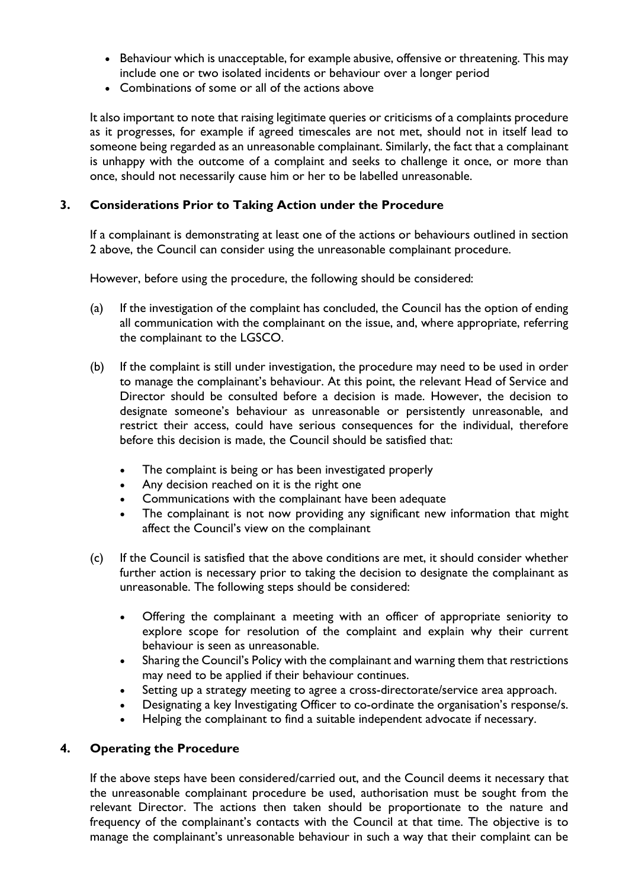- Behaviour which is unacceptable, for example abusive, offensive or threatening. This may include one or two isolated incidents or behaviour over a longer period
- Combinations of some or all of the actions above

It also important to note that raising legitimate queries or criticisms of a complaints procedure as it progresses, for example if agreed timescales are not met, should not in itself lead to someone being regarded as an unreasonable complainant. Similarly, the fact that a complainant is unhappy with the outcome of a complaint and seeks to challenge it once, or more than once, should not necessarily cause him or her to be labelled unreasonable.

## **3. Considerations Prior to Taking Action under the Procedure**

If a complainant is demonstrating at least one of the actions or behaviours outlined in section 2 above, the Council can consider using the unreasonable complainant procedure.

However, before using the procedure, the following should be considered:

- (a) If the investigation of the complaint has concluded, the Council has the option of ending all communication with the complainant on the issue, and, where appropriate, referring the complainant to the LGSCO.
- (b) If the complaint is still under investigation, the procedure may need to be used in order to manage the complainant's behaviour. At this point, the relevant Head of Service and Director should be consulted before a decision is made. However, the decision to designate someone's behaviour as unreasonable or persistently unreasonable, and restrict their access, could have serious consequences for the individual, therefore before this decision is made, the Council should be satisfied that:
	- The complaint is being or has been investigated properly
	- Any decision reached on it is the right one
	- Communications with the complainant have been adequate
	- The complainant is not now providing any significant new information that might affect the Council's view on the complainant
- (c) If the Council is satisfied that the above conditions are met, it should consider whether further action is necessary prior to taking the decision to designate the complainant as unreasonable. The following steps should be considered:
	- Offering the complainant a meeting with an officer of appropriate seniority to explore scope for resolution of the complaint and explain why their current behaviour is seen as unreasonable.
	- Sharing the Council's Policy with the complainant and warning them that restrictions may need to be applied if their behaviour continues.
	- Setting up a strategy meeting to agree a cross-directorate/service area approach.
	- Designating a key Investigating Officer to co-ordinate the organisation's response/s.
	- Helping the complainant to find a suitable independent advocate if necessary.

#### **4. Operating the Procedure**

If the above steps have been considered/carried out, and the Council deems it necessary that the unreasonable complainant procedure be used, authorisation must be sought from the relevant Director. The actions then taken should be proportionate to the nature and frequency of the complainant's contacts with the Council at that time. The objective is to manage the complainant's unreasonable behaviour in such a way that their complaint can be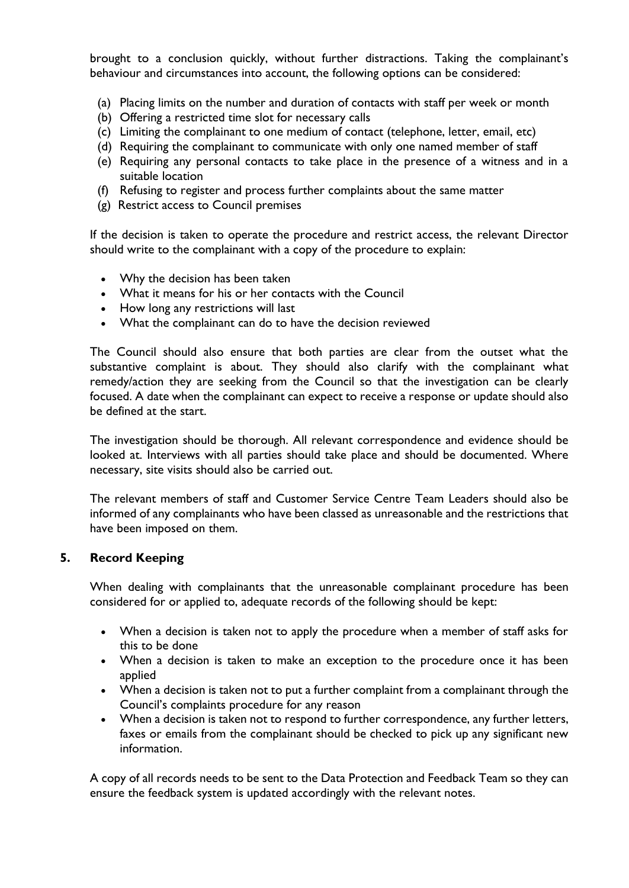brought to a conclusion quickly, without further distractions. Taking the complainant's behaviour and circumstances into account, the following options can be considered:

- (a) Placing limits on the number and duration of contacts with staff per week or month
- (b) Offering a restricted time slot for necessary calls
- (c) Limiting the complainant to one medium of contact (telephone, letter, email, etc)
- (d) Requiring the complainant to communicate with only one named member of staff
- (e) Requiring any personal contacts to take place in the presence of a witness and in a suitable location
- (f) Refusing to register and process further complaints about the same matter
- (g) Restrict access to Council premises

If the decision is taken to operate the procedure and restrict access, the relevant Director should write to the complainant with a copy of the procedure to explain:

- Why the decision has been taken
- What it means for his or her contacts with the Council
- How long any restrictions will last
- What the complainant can do to have the decision reviewed

The Council should also ensure that both parties are clear from the outset what the substantive complaint is about. They should also clarify with the complainant what remedy/action they are seeking from the Council so that the investigation can be clearly focused. A date when the complainant can expect to receive a response or update should also be defined at the start.

The investigation should be thorough. All relevant correspondence and evidence should be looked at. Interviews with all parties should take place and should be documented. Where necessary, site visits should also be carried out.

The relevant members of staff and Customer Service Centre Team Leaders should also be informed of any complainants who have been classed as unreasonable and the restrictions that have been imposed on them.

#### **5. Record Keeping**

When dealing with complainants that the unreasonable complainant procedure has been considered for or applied to, adequate records of the following should be kept:

- When a decision is taken not to apply the procedure when a member of staff asks for this to be done
- When a decision is taken to make an exception to the procedure once it has been applied
- When a decision is taken not to put a further complaint from a complainant through the Council's complaints procedure for any reason
- When a decision is taken not to respond to further correspondence, any further letters, faxes or emails from the complainant should be checked to pick up any significant new information.

A copy of all records needs to be sent to the Data Protection and Feedback Team so they can ensure the feedback system is updated accordingly with the relevant notes.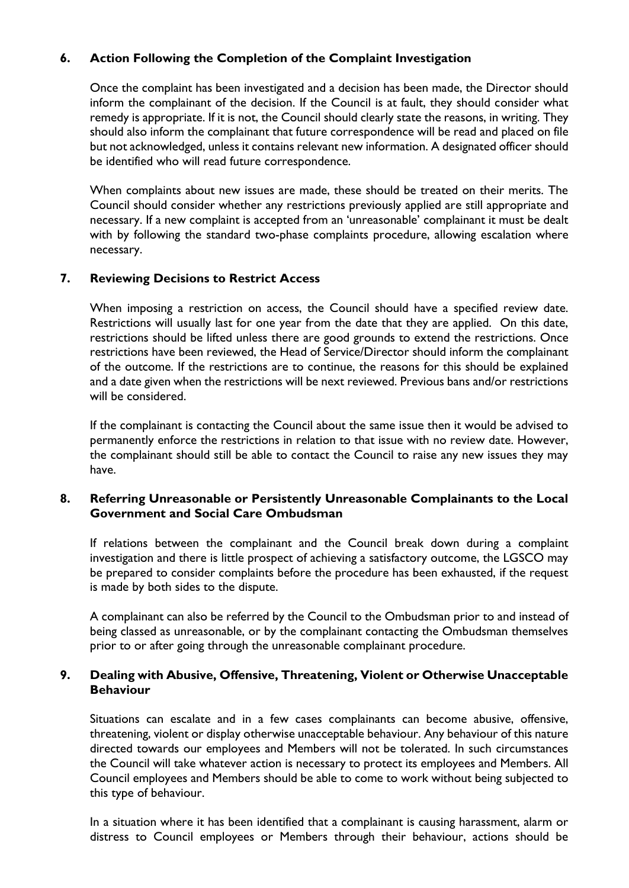# **6. Action Following the Completion of the Complaint Investigation**

Once the complaint has been investigated and a decision has been made, the Director should inform the complainant of the decision. If the Council is at fault, they should consider what remedy is appropriate. If it is not, the Council should clearly state the reasons, in writing. They should also inform the complainant that future correspondence will be read and placed on file but not acknowledged, unless it contains relevant new information. A designated officer should be identified who will read future correspondence.

When complaints about new issues are made, these should be treated on their merits. The Council should consider whether any restrictions previously applied are still appropriate and necessary. If a new complaint is accepted from an 'unreasonable' complainant it must be dealt with by following the standard two-phase complaints procedure, allowing escalation where necessary.

## **7. Reviewing Decisions to Restrict Access**

When imposing a restriction on access, the Council should have a specified review date. Restrictions will usually last for one year from the date that they are applied. On this date, restrictions should be lifted unless there are good grounds to extend the restrictions. Once restrictions have been reviewed, the Head of Service/Director should inform the complainant of the outcome. If the restrictions are to continue, the reasons for this should be explained and a date given when the restrictions will be next reviewed. Previous bans and/or restrictions will be considered.

If the complainant is contacting the Council about the same issue then it would be advised to permanently enforce the restrictions in relation to that issue with no review date. However, the complainant should still be able to contact the Council to raise any new issues they may have.

## **8. Referring Unreasonable or Persistently Unreasonable Complainants to the Local Government and Social Care Ombudsman**

If relations between the complainant and the Council break down during a complaint investigation and there is little prospect of achieving a satisfactory outcome, the LGSCO may be prepared to consider complaints before the procedure has been exhausted, if the request is made by both sides to the dispute.

A complainant can also be referred by the Council to the Ombudsman prior to and instead of being classed as unreasonable, or by the complainant contacting the Ombudsman themselves prior to or after going through the unreasonable complainant procedure.

## **9. Dealing with Abusive, Offensive, Threatening, Violent or Otherwise Unacceptable Behaviour**

Situations can escalate and in a few cases complainants can become abusive, offensive, threatening, violent or display otherwise unacceptable behaviour. Any behaviour of this nature directed towards our employees and Members will not be tolerated. In such circumstances the Council will take whatever action is necessary to protect its employees and Members. All Council employees and Members should be able to come to work without being subjected to this type of behaviour.

In a situation where it has been identified that a complainant is causing harassment, alarm or distress to Council employees or Members through their behaviour, actions should be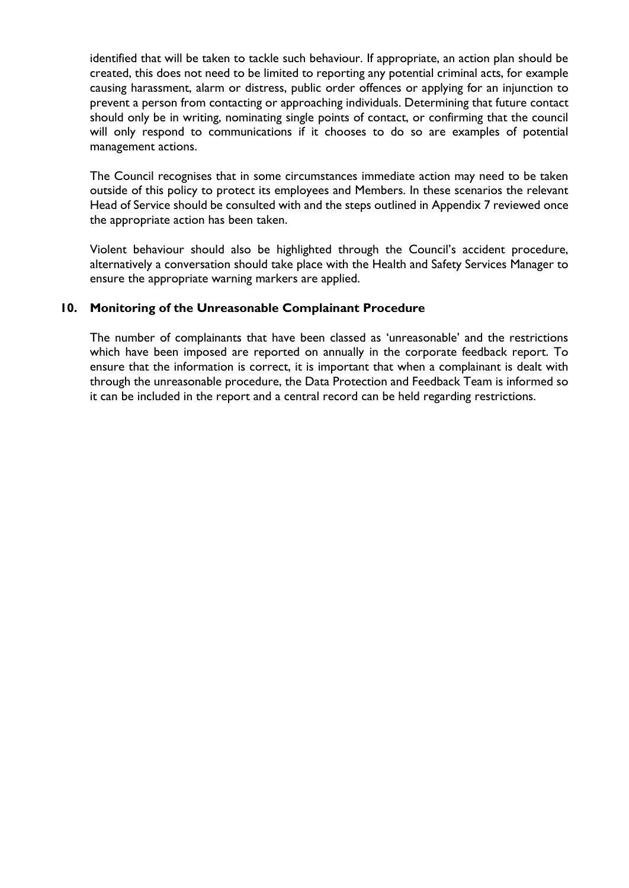identified that will be taken to tackle such behaviour. If appropriate, an action plan should be created, this does not need to be limited to reporting any potential criminal acts, for example causing harassment, alarm or distress, public order offences or applying for an injunction to prevent a person from contacting or approaching individuals. Determining that future contact should only be in writing, nominating single points of contact, or confirming that the council will only respond to communications if it chooses to do so are examples of potential management actions.

The Council recognises that in some circumstances immediate action may need to be taken outside of this policy to protect its employees and Members. In these scenarios the relevant Head of Service should be consulted with and the steps outlined in Appendix 7 reviewed once the appropriate action has been taken.

Violent behaviour should also be highlighted through the Council's accident procedure, alternatively a conversation should take place with the Health and Safety Services Manager to ensure the appropriate warning markers are applied.

## **10. Monitoring of the Unreasonable Complainant Procedure**

The number of complainants that have been classed as 'unreasonable' and the restrictions which have been imposed are reported on annually in the corporate feedback report. To ensure that the information is correct, it is important that when a complainant is dealt with through the unreasonable procedure, the Data Protection and Feedback Team is informed so it can be included in the report and a central record can be held regarding restrictions.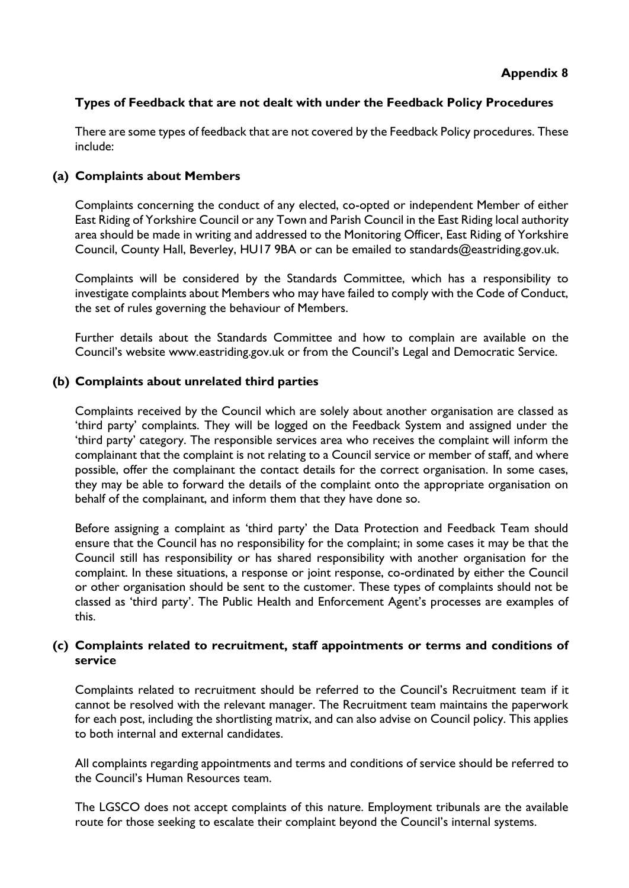## **Types of Feedback that are not dealt with under the Feedback Policy Procedures**

There are some types of feedback that are not covered by the Feedback Policy procedures. These include:

#### **(a) Complaints about Members**

Complaints concerning the conduct of any elected, co-opted or independent Member of either East Riding of Yorkshire Council or any Town and Parish Council in the East Riding local authority area should be made in writing and addressed to the Monitoring Officer, East Riding of Yorkshire Council, County Hall, Beverley, HU17 9BA or can be emailed to standards@eastriding.gov.uk.

Complaints will be considered by the Standards Committee, which has a responsibility to investigate complaints about Members who may have failed to comply with the Code of Conduct, the set of rules governing the behaviour of Members.

Further details about the Standards Committee and how to complain are available on the Council's website www.eastriding.gov.uk or from the Council's Legal and Democratic Service.

#### **(b) Complaints about unrelated third parties**

Complaints received by the Council which are solely about another organisation are classed as 'third party' complaints. They will be logged on the Feedback System and assigned under the 'third party' category. The responsible services area who receives the complaint will inform the complainant that the complaint is not relating to a Council service or member of staff, and where possible, offer the complainant the contact details for the correct organisation. In some cases, they may be able to forward the details of the complaint onto the appropriate organisation on behalf of the complainant, and inform them that they have done so.

Before assigning a complaint as 'third party' the Data Protection and Feedback Team should ensure that the Council has no responsibility for the complaint; in some cases it may be that the Council still has responsibility or has shared responsibility with another organisation for the complaint. In these situations, a response or joint response, co-ordinated by either the Council or other organisation should be sent to the customer. These types of complaints should not be classed as 'third party'. The Public Health and Enforcement Agent's processes are examples of this.

#### **(c) Complaints related to recruitment, staff appointments or terms and conditions of service**

Complaints related to recruitment should be referred to the Council's Recruitment team if it cannot be resolved with the relevant manager. The Recruitment team maintains the paperwork for each post, including the shortlisting matrix, and can also advise on Council policy. This applies to both internal and external candidates.

All complaints regarding appointments and terms and conditions of service should be referred to the Council's Human Resources team.

The LGSCO does not accept complaints of this nature. Employment tribunals are the available route for those seeking to escalate their complaint beyond the Council's internal systems.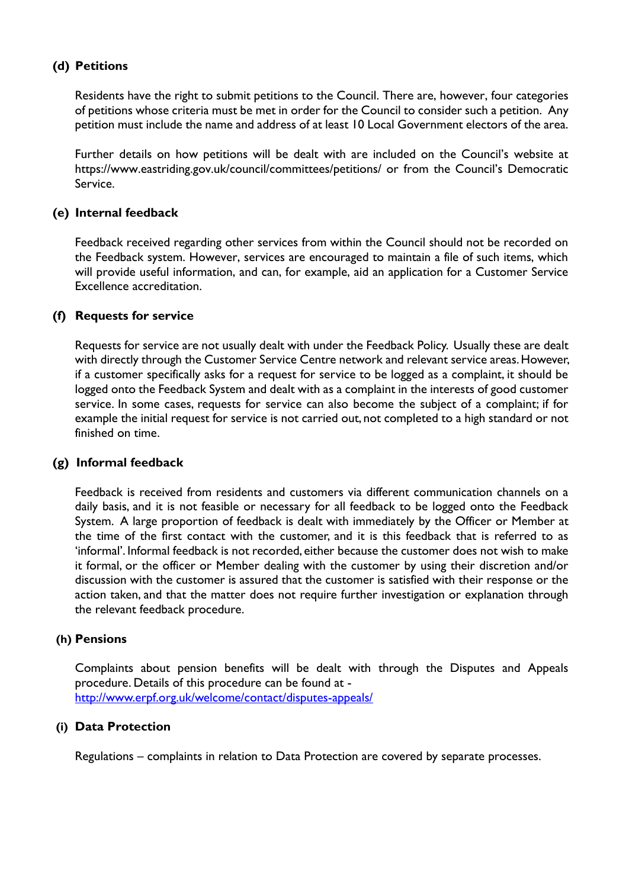# **(d) Petitions**

Residents have the right to submit petitions to the Council. There are, however, four categories of petitions whose criteria must be met in order for the Council to consider such a petition. Any petition must include the name and address of at least 10 Local Government electors of the area.

Further details on how petitions will be dealt with are included on the Council's website at https://www.eastriding.gov.uk/council/committees/petitions/ or from the Council's Democratic Service.

#### **(e) Internal feedback**

Feedback received regarding other services from within the Council should not be recorded on the Feedback system. However, services are encouraged to maintain a file of such items, which will provide useful information, and can, for example, aid an application for a Customer Service Excellence accreditation.

#### **(f) Requests for service**

Requests for service are not usually dealt with under the Feedback Policy. Usually these are dealt with directly through the Customer Service Centre network and relevant service areas. However, if a customer specifically asks for a request for service to be logged as a complaint, it should be logged onto the Feedback System and dealt with as a complaint in the interests of good customer service. In some cases, requests for service can also become the subject of a complaint; if for example the initial request for service is not carried out, not completed to a high standard or not finished on time.

## **(g) Informal feedback**

Feedback is received from residents and customers via different communication channels on a daily basis, and it is not feasible or necessary for all feedback to be logged onto the Feedback System. A large proportion of feedback is dealt with immediately by the Officer or Member at the time of the first contact with the customer, and it is this feedback that is referred to as 'informal'. Informal feedback is not recorded, either because the customer does not wish to make it formal, or the officer or Member dealing with the customer by using their discretion and/or discussion with the customer is assured that the customer is satisfied with their response or the action taken, and that the matter does not require further investigation or explanation through the relevant feedback procedure.

#### **(h) Pensions**

Complaints about pension benefits will be dealt with through the Disputes and Appeals procedure. Details of this procedure can be found at <http://www.erpf.org.uk/welcome/contact/disputes-appeals/>

## **(i) Data Protection**

Regulations – complaints in relation to Data Protection are covered by separate processes.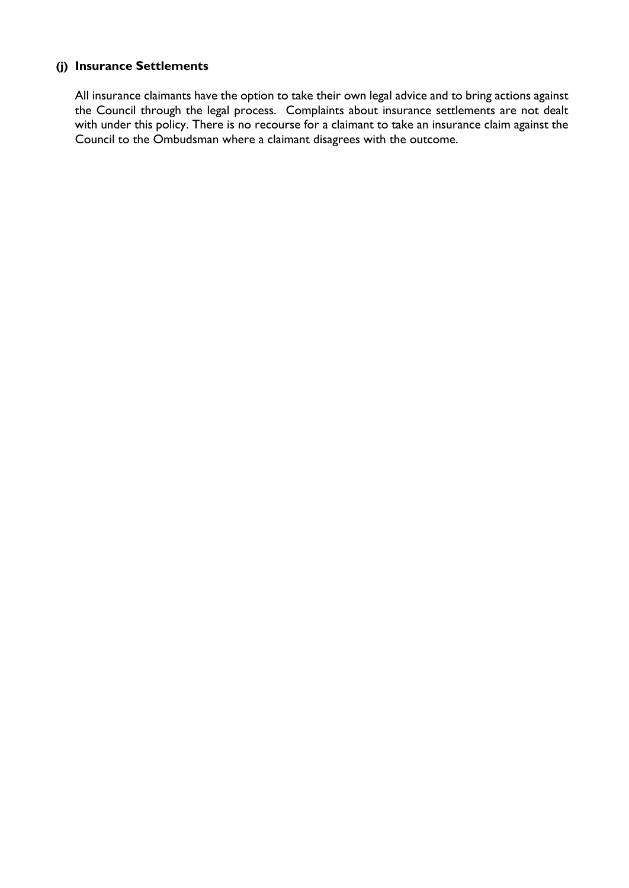## **(j) Insurance Settlements**

All insurance claimants have the option to take their own legal advice and to bring actions against the Council through the legal process. Complaints about insurance settlements are not dealt with under this policy. There is no recourse for a claimant to take an insurance claim against the Council to the Ombudsman where a claimant disagrees with the outcome.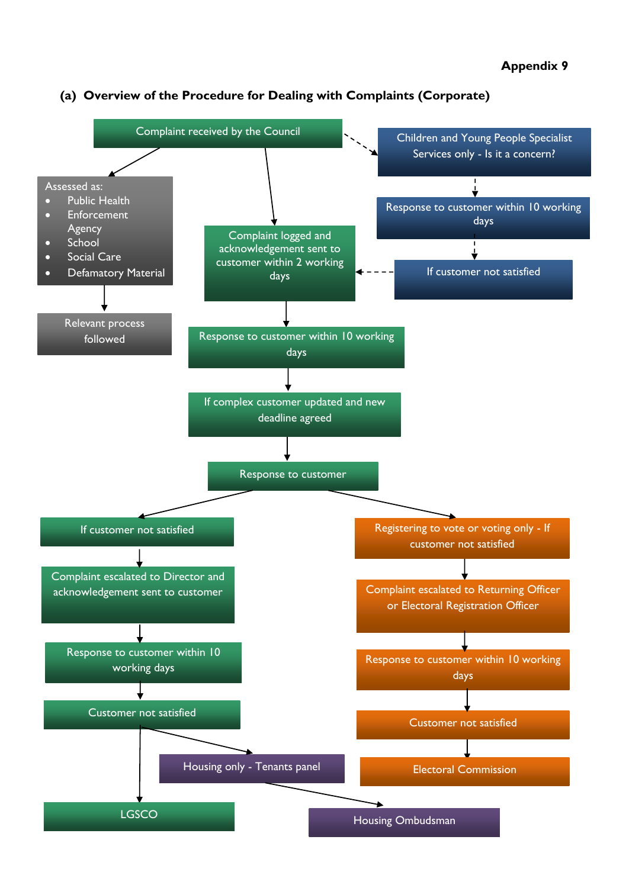

#### **(a) Overview of the Procedure for Dealing with Complaints (Corporate)**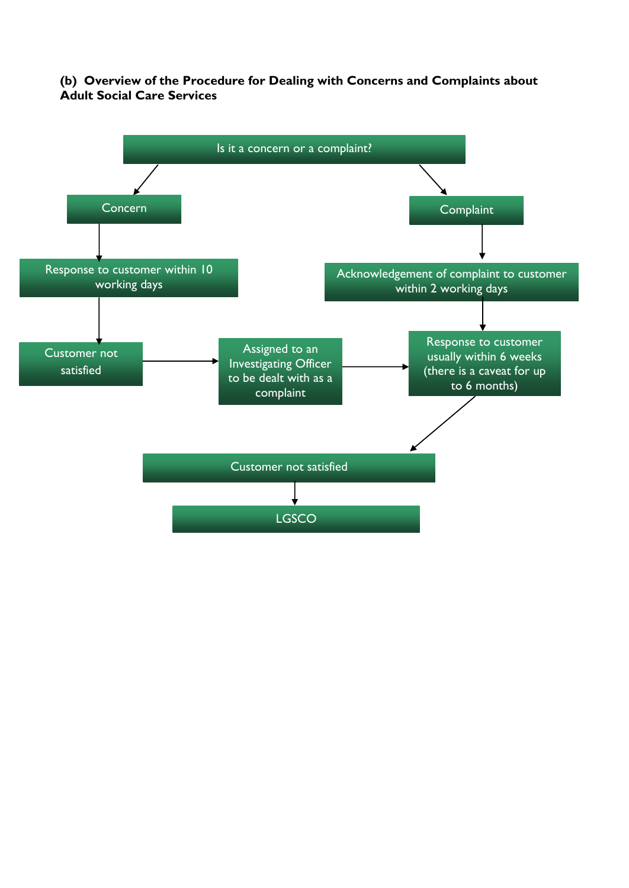## **(b) Overview of the Procedure for Dealing with Concerns and Complaints about Adult Social Care Services**

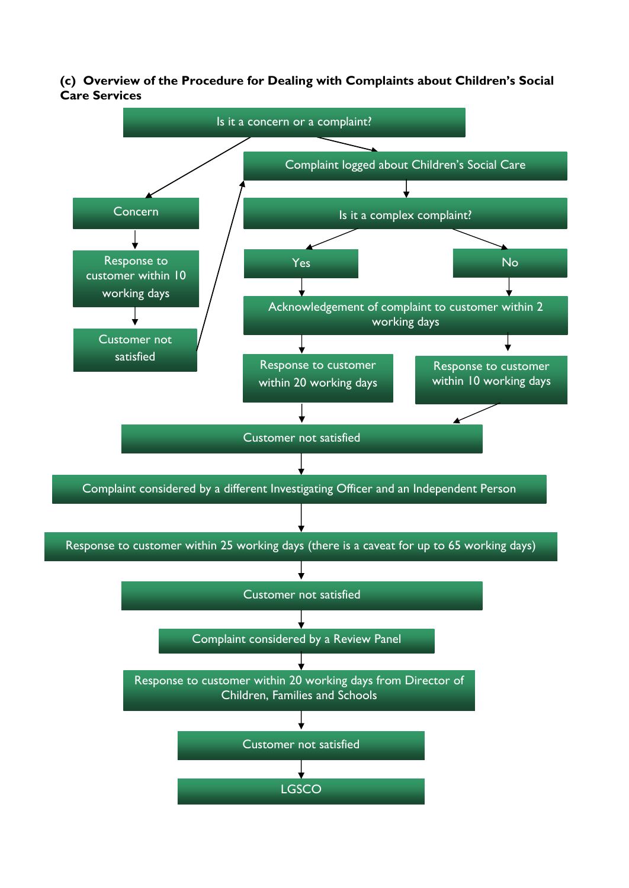**(c) Overview of the Procedure for Dealing with Complaints about Children's Social Care Services**

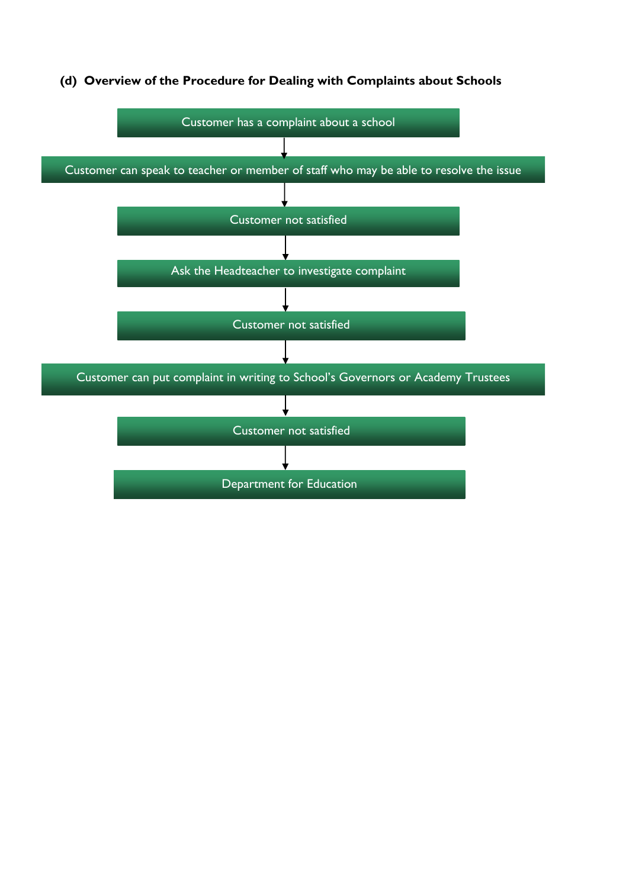

#### **(d) Overview of the Procedure for Dealing with Complaints about Schools**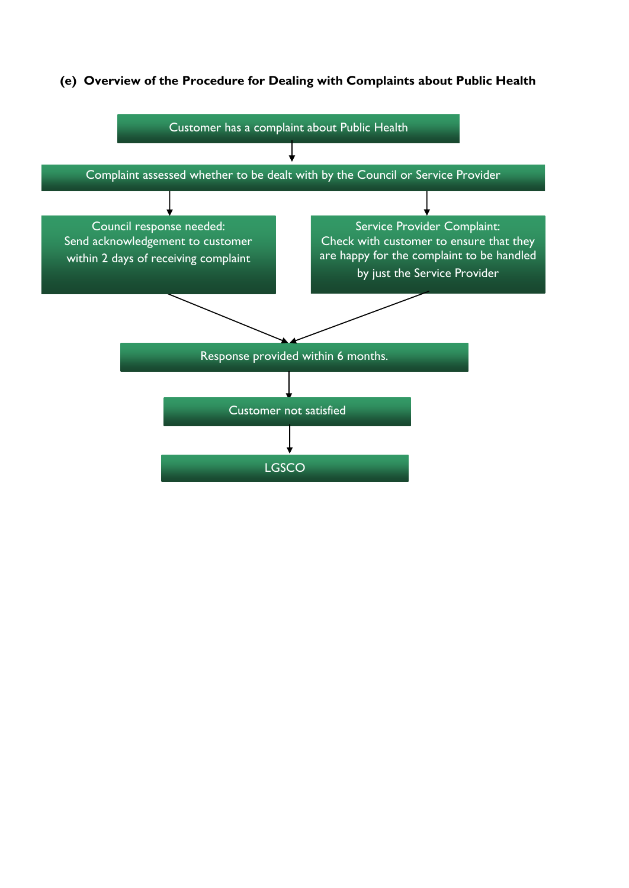## **(e) Overview of the Procedure for Dealing with Complaints about Public Health**

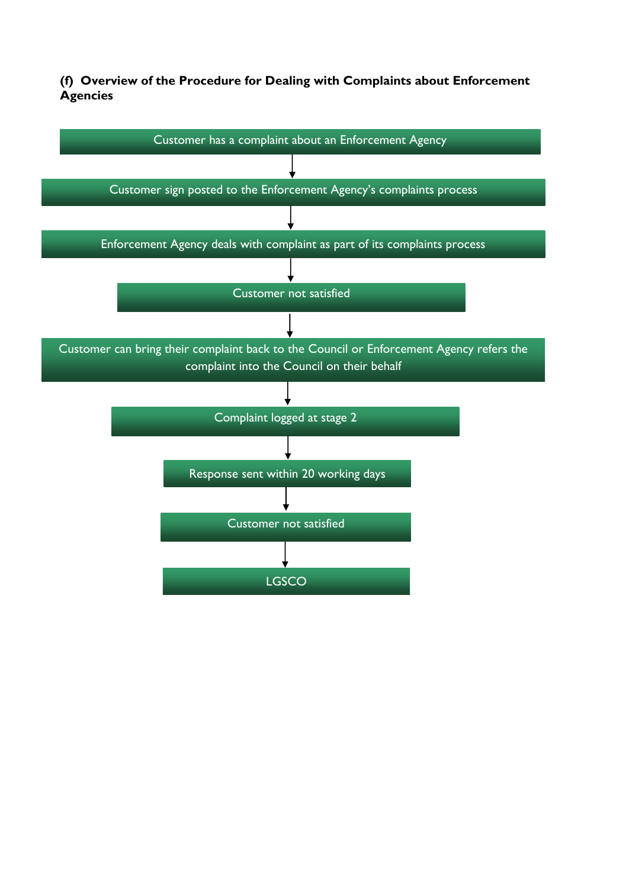**(f) Overview of the Procedure for Dealing with Complaints about Enforcement Agencies**

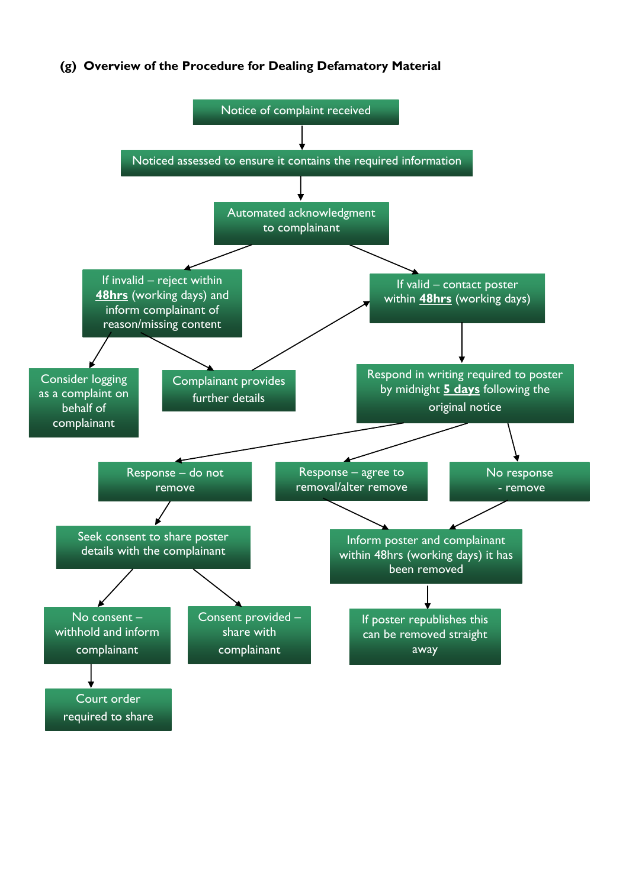## **(g) Overview of the Procedure for Dealing Defamatory Material**

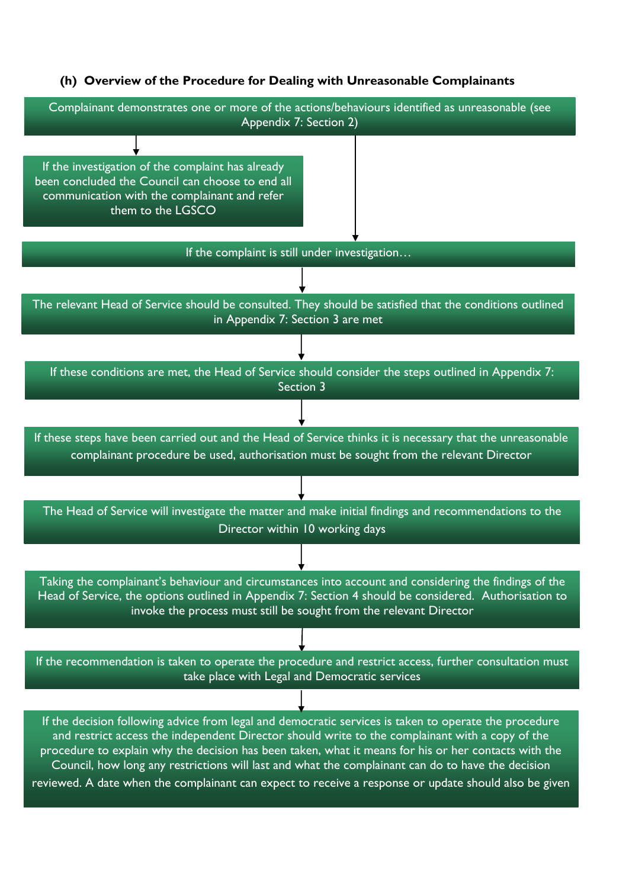#### **(h) Overview of the Procedure for Dealing with Unreasonable Complainants**